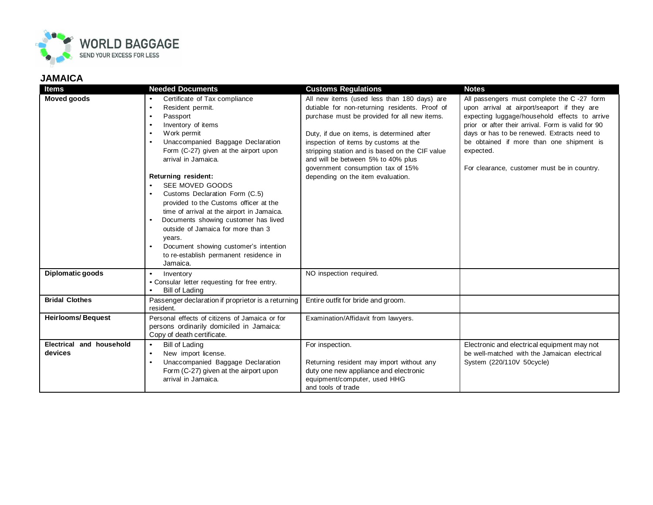

## **JAMAICA**

| <b>Items</b>                        | <b>Needed Documents</b>                                                                                                                                                                                                                                                                                                                                                                                                                                                                                                                                                                                                             | <b>Customs Regulations</b>                                                                                                                                                                                                                                                                                                                                                                              | <b>Notes</b>                                                                                                                                                                                                                                                                                                                                            |
|-------------------------------------|-------------------------------------------------------------------------------------------------------------------------------------------------------------------------------------------------------------------------------------------------------------------------------------------------------------------------------------------------------------------------------------------------------------------------------------------------------------------------------------------------------------------------------------------------------------------------------------------------------------------------------------|---------------------------------------------------------------------------------------------------------------------------------------------------------------------------------------------------------------------------------------------------------------------------------------------------------------------------------------------------------------------------------------------------------|---------------------------------------------------------------------------------------------------------------------------------------------------------------------------------------------------------------------------------------------------------------------------------------------------------------------------------------------------------|
| <b>Moved goods</b>                  | Certificate of Tax compliance<br>Resident permit.<br>$\bullet$<br>Passport<br>$\bullet$<br>Inventory of items<br>$\bullet$<br>Work permit<br>$\bullet$<br>Unaccompanied Baggage Declaration<br>Form (C-27) given at the airport upon<br>arrival in Jamaica.<br>Returning resident:<br>SEE MOVED GOODS<br>Customs Declaration Form (C.5)<br>$\bullet$<br>provided to the Customs officer at the<br>time of arrival at the airport in Jamaica.<br>Documents showing customer has lived<br>outside of Jamaica for more than 3<br>years.<br>Document showing customer's intention<br>to re-establish permanent residence in<br>Jamaica. | All new items (used less than 180 days) are<br>dutiable for non-returning residents. Proof of<br>purchase must be provided for all new items.<br>Duty, if due on items, is determined after<br>inspection of items by customs at the<br>stripping station and is based on the CIF value<br>and will be between 5% to 40% plus<br>government consumption tax of 15%<br>depending on the item evaluation. | All passengers must complete the C-27 form<br>upon arrival at airport/seaport if they are<br>expecting luggage/household effects to arrive<br>prior or after their arrival. Form is valid for 90<br>days or has to be renewed. Extracts need to<br>be obtained if more than one shipment is<br>expected.<br>For clearance, customer must be in country. |
| Diplomatic goods                    | $\bullet$<br>Inventory<br>• Consular letter requesting for free entry.<br>Bill of Lading                                                                                                                                                                                                                                                                                                                                                                                                                                                                                                                                            | NO inspection required.                                                                                                                                                                                                                                                                                                                                                                                 |                                                                                                                                                                                                                                                                                                                                                         |
| <b>Bridal Clothes</b>               | Passenger declaration if proprietor is a returning<br>resident.                                                                                                                                                                                                                                                                                                                                                                                                                                                                                                                                                                     | Entire outfit for bride and groom.                                                                                                                                                                                                                                                                                                                                                                      |                                                                                                                                                                                                                                                                                                                                                         |
| <b>Heirlooms/Bequest</b>            | Personal effects of citizens of Jamaica or for<br>persons ordinarily domiciled in Jamaica:<br>Copy of death certificate.                                                                                                                                                                                                                                                                                                                                                                                                                                                                                                            | Examination/Affidavit from lawyers.                                                                                                                                                                                                                                                                                                                                                                     |                                                                                                                                                                                                                                                                                                                                                         |
| Electrical and household<br>devices | Bill of Lading<br>$\bullet$<br>New import license.<br>$\bullet$<br>Unaccompanied Baggage Declaration<br>$\bullet$<br>Form (C-27) given at the airport upon<br>arrival in Jamaica.                                                                                                                                                                                                                                                                                                                                                                                                                                                   | For inspection.<br>Returning resident may import without any<br>duty one new appliance and electronic<br>equipment/computer, used HHG<br>and tools of trade                                                                                                                                                                                                                                             | Electronic and electrical equipment may not<br>be well-matched with the Jamaican electrical<br>System (220/110V 50cycle)                                                                                                                                                                                                                                |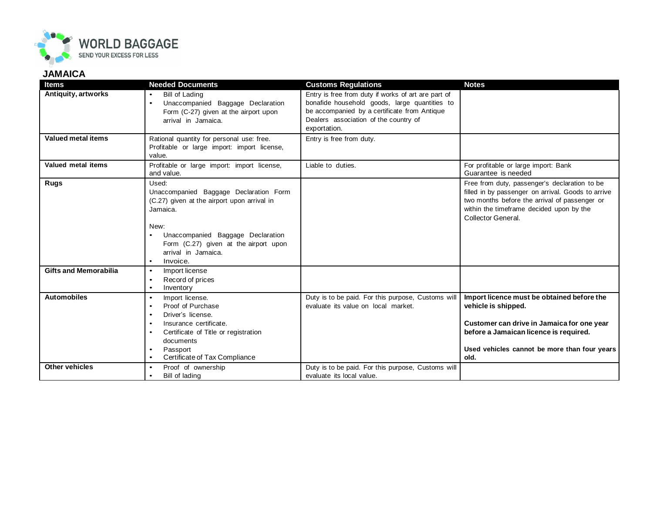

## **JAMAICA**

| <b>Items</b>                 | <b>Needed Documents</b>                                                                                                                                                                                                                        | <b>Customs Regulations</b>                                                                                                                                                                                    | <b>Notes</b>                                                                                                                                                                                                           |
|------------------------------|------------------------------------------------------------------------------------------------------------------------------------------------------------------------------------------------------------------------------------------------|---------------------------------------------------------------------------------------------------------------------------------------------------------------------------------------------------------------|------------------------------------------------------------------------------------------------------------------------------------------------------------------------------------------------------------------------|
| Antiquity, artworks          | <b>Bill of Lading</b><br>Unaccompanied Baggage Declaration<br>$\bullet$<br>Form (C-27) given at the airport upon<br>arrival in Jamaica.                                                                                                        | Entry is free from duty if works of art are part of<br>bonafide household goods, large quantities to<br>be accompanied by a certificate from Antique<br>Dealers association of the country of<br>exportation. |                                                                                                                                                                                                                        |
| Valued metal items           | Rational quantity for personal use: free.<br>Profitable or large import: import license,<br>value.                                                                                                                                             | Entry is free from duty.                                                                                                                                                                                      |                                                                                                                                                                                                                        |
| Valued metal items           | Profitable or large import: import license,<br>and value.                                                                                                                                                                                      | Liable to duties.                                                                                                                                                                                             | For profitable or large import: Bank<br>Guarantee is needed                                                                                                                                                            |
| Rugs                         | Used:<br>Unaccompanied Baggage Declaration Form<br>(C.27) given at the airport upon arrival in<br>Jamaica.<br>New:<br>Unaccompanied Baggage Declaration<br>Form (C.27) given at the airport upon<br>arrival in Jamaica.<br>Invoice.            |                                                                                                                                                                                                               | Free from duty, passenger's declaration to be<br>filled in by passenger on arrival. Goods to arrive<br>two months before the arrival of passenger or<br>within the timeframe decided upon by the<br>Collector General. |
| <b>Gifts and Memorabilia</b> | Import license<br>$\bullet$<br>Record of prices<br>$\bullet$<br>Inventory<br>$\bullet$                                                                                                                                                         |                                                                                                                                                                                                               |                                                                                                                                                                                                                        |
| <b>Automobiles</b>           | Import license.<br>$\bullet$<br>Proof of Purchase<br>$\bullet$<br>Driver's license.<br>$\bullet$<br>Insurance certificate.<br>$\bullet$<br>Certificate of Title or registration<br>٠<br>documents<br>Passport<br>Certificate of Tax Compliance | Duty is to be paid. For this purpose, Customs will<br>evaluate its value on local market.                                                                                                                     | Import licence must be obtained before the<br>vehicle is shipped.<br>Customer can drive in Jamaica for one year<br>before a Jamaican licence is required.<br>Used vehicles cannot be more than four years<br>old.      |
| <b>Other vehicles</b>        | Proof of ownership<br>$\bullet$<br>Bill of lading<br>$\bullet$                                                                                                                                                                                 | Duty is to be paid. For this purpose, Customs will<br>evaluate its local value.                                                                                                                               |                                                                                                                                                                                                                        |